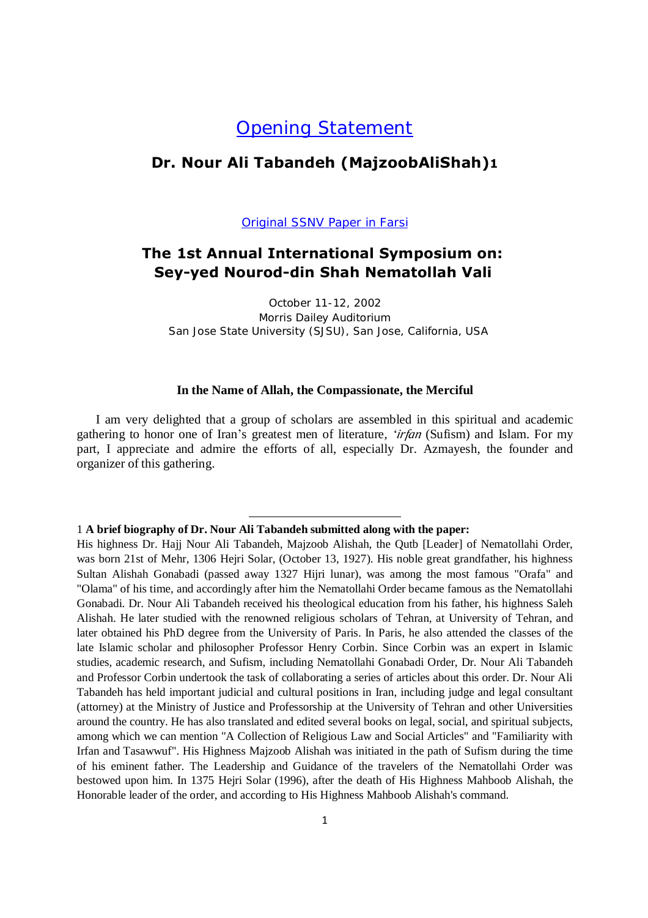# Opening Statement

### **Dr. Nour Ali Tabandeh (MajzoobAliShah)1**

**Original SSNV Paper in Farsi** 

## **The 1st Annual International Symposium on: Sey-yed Nourod-din Shah Nematollah Vali**

October 11-12, 2002 Morris Dailey Auditorium San Jose State University (SJSU), San Jose, California, USA

#### **In the Name of Allah, the Compassionate, the Merciful**

I am very delighted that a group of scholars are assembled in this spiritual and academic gathering to honor one of Iran's greatest men of literature, *'irfan* (Sufism) and Islam. For my part, I appreciate and admire the efforts of all, especially Dr. Azmayesh, the founder and organizer of this gathering.

#### 1 **A brief biography of Dr. Nour Ali Tabandeh submitted along with the paper:**

-

His highness Dr. Hajj Nour Ali Tabandeh, Majzoob Alishah, the Qutb [Leader] of Nematollahi Order, was born 21st of Mehr, 1306 Hejri Solar, (October 13, 1927). His noble great grandfather, his highness Sultan Alishah Gonabadi (passed away 1327 Hijri lunar), was among the most famous "Orafa" and "Olama" of his time, and accordingly after him the Nematollahi Order became famous as the Nematollahi Gonabadi. Dr. Nour Ali Tabandeh received his theological education from his father, his highness Saleh Alishah. He later studied with the renowned religious scholars of Tehran, at University of Tehran, and later obtained his PhD degree from the University of Paris. In Paris, he also attended the classes of the late Islamic scholar and philosopher Professor Henry Corbin. Since Corbin was an expert in Islamic studies, academic research, and Sufism, including Nematollahi Gonabadi Order, Dr. Nour Ali Tabandeh and Professor Corbin undertook the task of collaborating a series of articles about this order. Dr. Nour Ali Tabandeh has held important judicial and cultural positions in Iran, including judge and legal consultant (attorney) at the Ministry of Justice and Professorship at the University of Tehran and other Universities around the country. He has also translated and edited several books on legal, social, and spiritual subjects, among which we can mention "A Collection of Religious Law and Social Articles" and "Familiarity with Irfan and Tasawwuf". His Highness Majzoob Alishah was initiated in the path of Sufism during the time of his eminent father. The Leadership and Guidance of the travelers of the Nematollahi Order was bestowed upon him. In 1375 Hejri Solar (1996), after the death of His Highness Mahboob Alishah, the Honorable leader of the order, and according to His Highness Mahboob Alishah's command.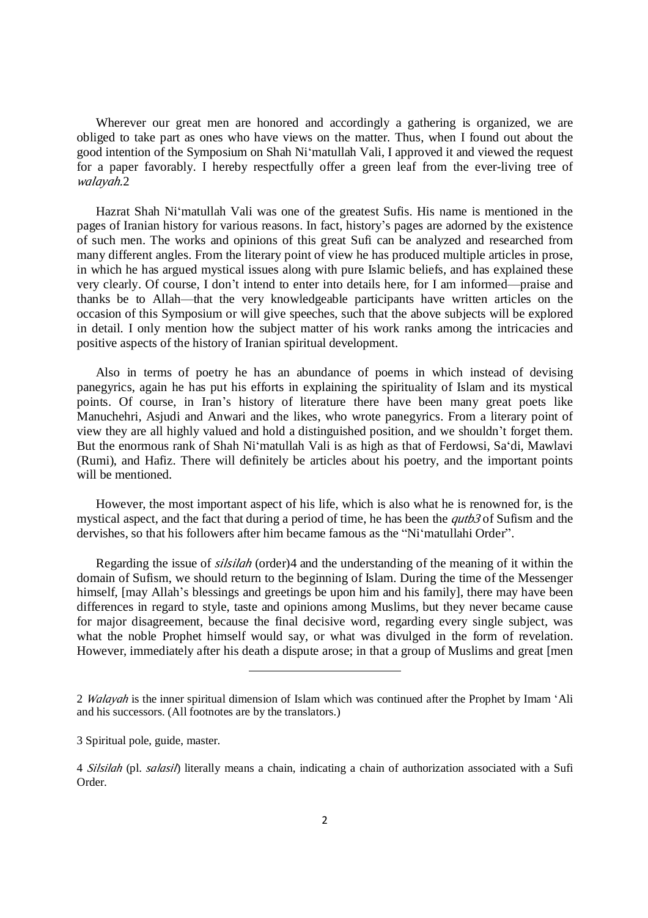Wherever our great men are honored and accordingly a gathering is organized, we are obliged to take part as ones who have views on the matter. Thus, when I found out about the good intention of the Symposium on Shah Ni'matullah Vali, I approved it and viewed the request for a paper favorably. I hereby respectfully offer a green leaf from the ever-living tree of *walayah.*2

Hazrat Shah Ni'matullah Vali was one of the greatest Sufis. His name is mentioned in the pages of Iranian history for various reasons. In fact, history's pages are adorned by the existence of such men. The works and opinions of this great Sufi can be analyzed and researched from many different angles. From the literary point of view he has produced multiple articles in prose, in which he has argued mystical issues along with pure Islamic beliefs, and has explained these very clearly. Of course, I don't intend to enter into details here, for I am informed—praise and thanks be to Allah—that the very knowledgeable participants have written articles on the occasion of this Symposium or will give speeches, such that the above subjects will be explored in detail. I only mention how the subject matter of his work ranks among the intricacies and positive aspects of the history of Iranian spiritual development.

Also in terms of poetry he has an abundance of poems in which instead of devising panegyrics, again he has put his efforts in explaining the spirituality of Islam and its mystical points. Of course, in Iran's history of literature there have been many great poets like Manuchehri, Asjudi and Anwari and the likes, who wrote panegyrics. From a literary point of view they are all highly valued and hold a distinguished position, and we shouldn't forget them. But the enormous rank of Shah Ni'matullah Vali is as high as that of Ferdowsi, Sa'di, Mawlavi (Rumi), and Hafiz. There will definitely be articles about his poetry, and the important points will be mentioned.

However, the most important aspect of his life, which is also what he is renowned for, is the mystical aspect, and the fact that during a period of time, he has been the *qutb3* of Sufism and the dervishes, so that his followers after him became famous as the "Ni'matullahi Order".

Regarding the issue of *silsilah* (order)4 and the understanding of the meaning of it within the domain of Sufism, we should return to the beginning of Islam. During the time of the Messenger himself, [may Allah's blessings and greetings be upon him and his family], there may have been differences in regard to style, taste and opinions among Muslims, but they never became cause for major disagreement, because the final decisive word, regarding every single subject, was what the noble Prophet himself would say, or what was divulged in the form of revelation. However, immediately after his death a dispute arose; in that a group of Muslims and great [men

**.** 

<sup>2</sup> *Walayah* is the inner spiritual dimension of Islam which was continued after the Prophet by Imam 'Ali and his successors. (All footnotes are by the translators.)

<sup>3</sup> Spiritual pole, guide, master.

<sup>4</sup> *Silsilah* (pl. *salasil*) literally means a chain, indicating a chain of authorization associated with a Sufi Order.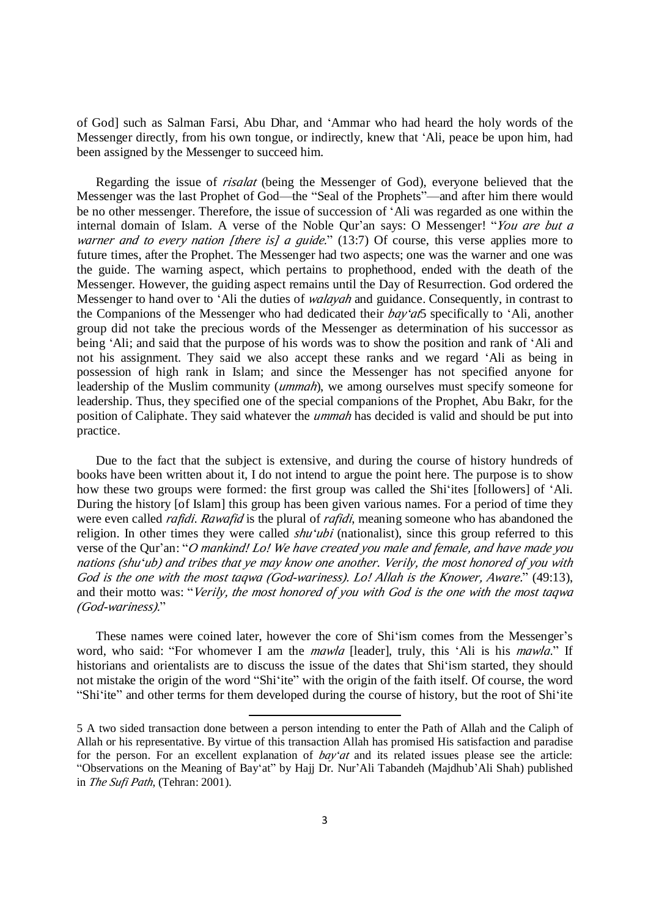of God] such as Salman Farsi, Abu Dhar, and 'Ammar who had heard the holy words of the Messenger directly, from his own tongue, or indirectly, knew that 'Ali, peace be upon him, had been assigned by the Messenger to succeed him.

Regarding the issue of *risalat* (being the Messenger of God), everyone believed that the Messenger was the last Prophet of God—the "Seal of the Prophets"—and after him there would be no other messenger. Therefore, the issue of succession of 'Ali was regarded as one within the internal domain of Islam. A verse of the Noble Qur'an says: O Messenger! "*You are but <sup>a</sup> warner and to every nation [there is] <sup>a</sup> guide.*" (13:7) Of course, this verse applies more to future times, after the Prophet. The Messenger had two aspects; one was the warner and one was the guide. The warning aspect, which pertains to prophethood, ended with the death of the Messenger. However, the guiding aspect remains until the Day of Resurrection. God ordered the Messenger to hand over to 'Ali the duties of *walayah* and guidance. Consequently, in contrast to the Companions of the Messenger who had dedicated their *bay'at*5 specifically to 'Ali, another group did not take the precious words of the Messenger as determination of his successor as being 'Ali; and said that the purpose of his words was to show the position and rank of 'Ali and not his assignment. They said we also accept these ranks and we regard 'Ali as being in possession of high rank in Islam; and since the Messenger has not specified anyone for leadership of the Muslim community (*ummah*), we among ourselves must specify someone for leadership. Thus, they specified one of the special companions of the Prophet, Abu Bakr, for the position of Caliphate. They said whatever the *ummah* has decided is valid and should be put into practice.

Due to the fact that the subject is extensive, and during the course of history hundreds of books have been written about it, I do not intend to argue the point here. The purpose is to show how these two groups were formed: the first group was called the Shi'ites [followers] of 'Ali. During the history [of Islam] this group has been given various names. For a period of time they were even called *rafidi*. *Rawafid* is the plural of *rafidi*, meaning someone who has abandoned the religion. In other times they were called *shu'ubi* (nationalist), since this group referred to this verse of the Qur'an: "*<sup>O</sup> mankind! Lo! We have created you male and female, and have made you*  nations (shu'ub) and tribes that ye may know one another. Verily, the most honored of you with *God is the one with the most taqwa (God-wariness). Lo! Allah is the Knower, Aware.*" (49:13), and their motto was: "*Verily, the most honored of you with God is the one with the most taqwa (God-wariness).*"

These names were coined later, however the core of Shi'ism comes from the Messenger's word, who said: "For whomever I am the *mawla* [leader], truly, this 'Ali is his *mawla*." If historians and orientalists are to discuss the issue of the dates that Shi'ism started, they should not mistake the origin of the word "Shi'ite" with the origin of the faith itself. Of course, the word "Shi'ite" and other terms for them developed during the course of history, but the root of Shi'ite

**.** 

<sup>5</sup> A two sided transaction done between a person intending to enter the Path of Allah and the Caliph of Allah or his representative. By virtue of this transaction Allah has promised His satisfaction and paradise for the person. For an excellent explanation of *bay'at* and its related issues please see the article: "Observations on the Meaning of Bay'at" by Hajj Dr. Nur'Ali Tabandeh (Majdhub'Ali Shah) published in *The Sufi Path*, (Tehran: 2001).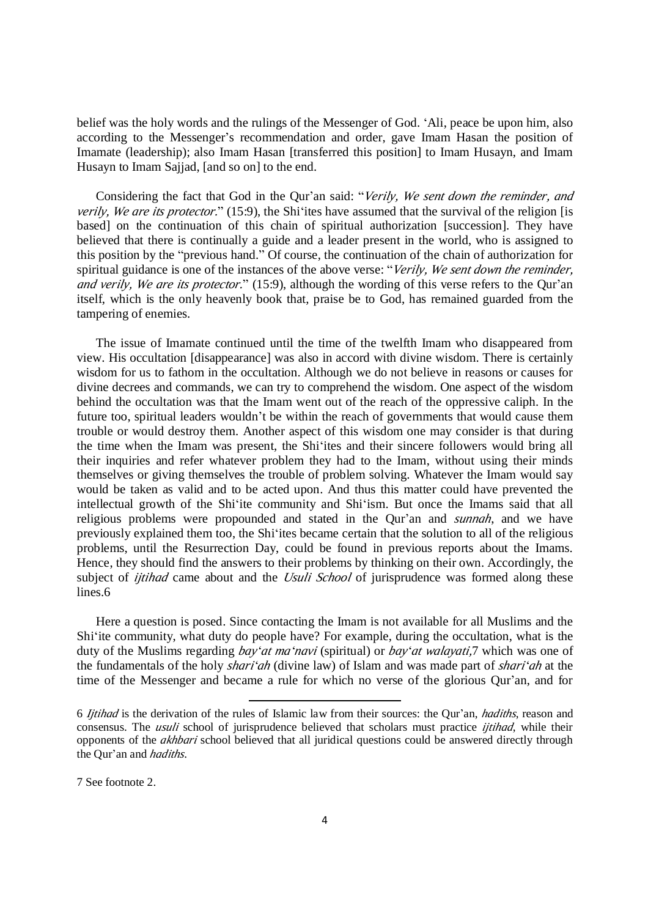belief was the holy words and the rulings of the Messenger of God. 'Ali, peace be upon him, also according to the Messenger's recommendation and order, gave Imam Hasan the position of Imamate (leadership); also Imam Hasan [transferred this position] to Imam Husayn, and Imam Husayn to Imam Sajjad, [and so on] to the end.

Considering the fact that God in the Qur'an said: "*Verily, We sent down the reminder, and verily, We are its protector.*" (15:9), the Shi'ites have assumed that the survival of the religion [is based] on the continuation of this chain of spiritual authorization [succession]. They have believed that there is continually a guide and a leader present in the world, who is assigned to this position by the "previous hand." Of course, the continuation of the chain of authorization for spiritual guidance is one of the instances of the above verse: "*Verily, We sent down the reminder, and verily, We are its protector.*" (15:9), although the wording of this verse refers to the Qur'an itself, which is the only heavenly book that, praise be to God, has remained guarded from the tampering of enemies.

The issue of Imamate continued until the time of the twelfth Imam who disappeared from view. His occultation [disappearance] was also in accord with divine wisdom. There is certainly wisdom for us to fathom in the occultation. Although we do not believe in reasons or causes for divine decrees and commands, we can try to comprehend the wisdom. One aspect of the wisdom behind the occultation was that the Imam went out of the reach of the oppressive caliph. In the future too, spiritual leaders wouldn't be within the reach of governments that would cause them trouble or would destroy them. Another aspect of this wisdom one may consider is that during the time when the Imam was present, the Shi'ites and their sincere followers would bring all their inquiries and refer whatever problem they had to the Imam, without using their minds themselves or giving themselves the trouble of problem solving. Whatever the Imam would say would be taken as valid and to be acted upon. And thus this matter could have prevented the intellectual growth of the Shi'ite community and Shi'ism. But once the Imams said that all religious problems were propounded and stated in the Qur'an and *sunnah*, and we have previously explained them too, the Shi'ites became certain that the solution to all of the religious problems, until the Resurrection Day, could be found in previous reports about the Imams. Hence, they should find the answers to their problems by thinking on their own. Accordingly, the subject of *ijtihad* came about and the *Usuli School* of jurisprudence was formed along these lines.6

Here a question is posed. Since contacting the Imam is not available for all Muslims and the Shi'ite community, what duty do people have? For example, during the occultation, what is the duty of the Muslims regarding *bay'at ma'navi* (spiritual) or *bay'at walayati,*7 which was one of the fundamentals of the holy *shari'ah* (divine law) of Islam and was made part of *shari'ah* at the time of the Messenger and became a rule for which no verse of the glorious Qur'an, and for

**.** 

7 See footnote 2.

<sup>6</sup> *Ijtihad* is the derivation of the rules of Islamic law from their sources: the Qur'an, *hadiths*, reason and consensus. The *usuli* school of jurisprudence believed that scholars must practice *ijtihad*, while their opponents of the *akhbari* school believed that all juridical questions could be answered directly through the Qur'an and *hadiths*.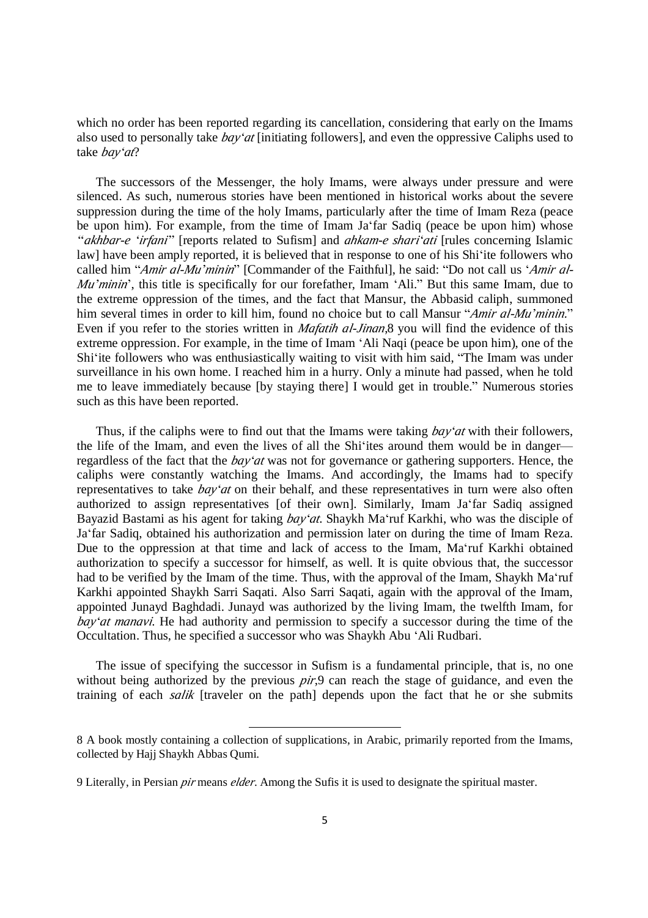which no order has been reported regarding its cancellation, considering that early on the Imams also used to personally take *bay'at* [initiating followers], and even the oppressive Caliphs used to take *bay'at*?

The successors of the Messenger, the holy Imams, were always under pressure and were silenced. As such, numerous stories have been mentioned in historical works about the severe suppression during the time of the holy Imams, particularly after the time of Imam Reza (peace be upon him). For example, from the time of Imam Ja'far Sadiq (peace be upon him) whose *"akhbar-e 'irfani"* [reports related to Sufism] and *ahkam-e shari'ati* [rules concerning Islamic law] have been amply reported, it is believed that in response to one of his Shi'ite followers who called him "*Amir al-Mu'minin*" [Commander of the Faithful], he said: "Do not call us '*Amir al-Mu'minin'*, this title is specifically for our forefather, Imam 'Ali.'' But this same Imam, due to the extreme oppression of the times, and the fact that Mansur, the Abbasid caliph, summoned him several times in order to kill him, found no choice but to call Mansur "*Amir al-Mu'minin.*" Even if you refer to the stories written in *Mafatih al-Jinan*,8 you will find the evidence of this extreme oppression. For example, in the time of Imam 'Ali Naqi (peace be upon him), one of the Shi'ite followers who was enthusiastically waiting to visit with him said, "The Imam was under surveillance in his own home. I reached him in a hurry. Only a minute had passed, when he told me to leave immediately because [by staying there] I would get in trouble." Numerous stories such as this have been reported.

Thus, if the caliphs were to find out that the Imams were taking *bay'at* with their followers, the life of the Imam, and even the lives of all the Shi'ites around them would be in danger regardless of the fact that the *bay'at* was not for governance or gathering supporters. Hence, the caliphs were constantly watching the Imams. And accordingly, the Imams had to specify representatives to take *bay'at* on their behalf, and these representatives in turn were also often authorized to assign representatives [of their own]. Similarly, Imam Ja'far Sadiq assigned Bayazid Bastami as his agent for taking *bay'at*. Shaykh Ma'ruf Karkhi, who was the disciple of Ja'far Sadiq, obtained his authorization and permission later on during the time of Imam Reza. Due to the oppression at that time and lack of access to the Imam, Ma'ruf Karkhi obtained authorization to specify a successor for himself, as well. It is quite obvious that, the successor had to be verified by the Imam of the time. Thus, with the approval of the Imam, Shaykh Ma'ruf Karkhi appointed Shaykh Sarri Saqati. Also Sarri Saqati, again with the approval of the Imam, appointed Junayd Baghdadi. Junayd was authorized by the living Imam, the twelfth Imam, for *bay'at manavi*. He had authority and permission to specify a successor during the time of the Occultation. Thus, he specified a successor who was Shaykh Abu 'Ali Rudbari.

The issue of specifying the successor in Sufism is a fundamental principle, that is, no one without being authorized by the previous *pir*,9 can reach the stage of guidance, and even the training of each *salik* [traveler on the path] depends upon the fact that he or she submits

<u>.</u>

<sup>8</sup> A book mostly containing a collection of supplications, in Arabic, primarily reported from the Imams, collected by Hajj Shaykh Abbas Qumi.

<sup>9</sup> Literally, in Persian *pir* means *elder*. Among the Sufis it is used to designate the spiritual master.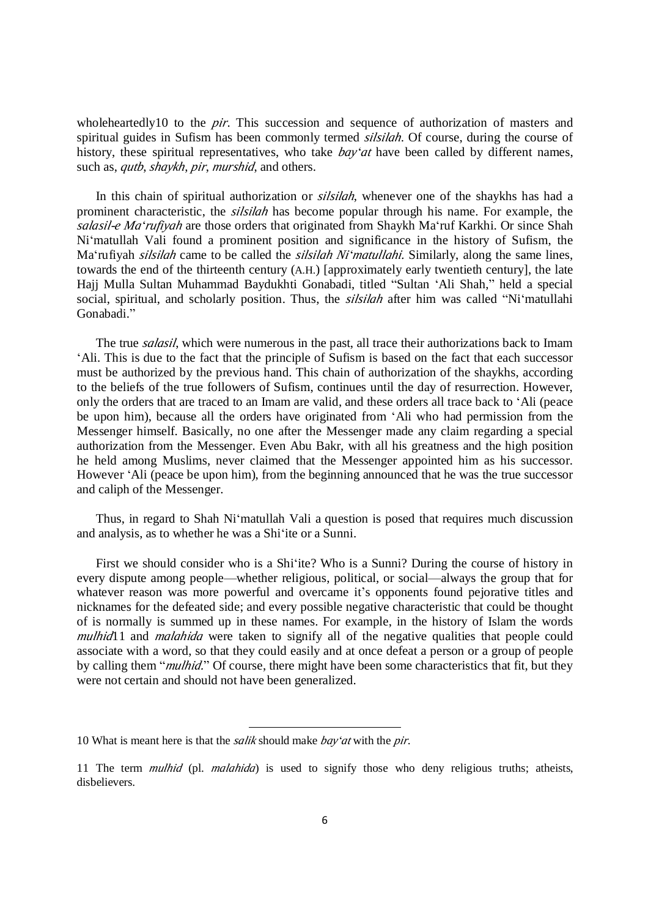wholeheartedly10 to the *pir*. This succession and sequence of authorization of masters and spiritual guides in Sufism has been commonly termed *silsilah*. Of course, during the course of history, these spiritual representatives, who take *bay'at* have been called by different names, such as, *qutb*, *shaykh*, *pir*, *murshid*, and others.

In this chain of spiritual authorization or *silsilah*, whenever one of the shaykhs has had a prominent characteristic, the *silsilah* has become popular through his name. For example, the *salasil-e Ma'rufiyah* are those orders that originated from Shaykh Ma'ruf Karkhi. Or since Shah Ni'matullah Vali found a prominent position and significance in the history of Sufism, the Ma'rufiyah *silsilah* came to be called the *silsilah Ni'matullahi.* Similarly, along the same lines, towards the end of the thirteenth century (A.H.) [approximately early twentieth century], the late Hajj Mulla Sultan Muhammad Baydukhti Gonabadi, titled "Sultan 'Ali Shah," held a special social, spiritual, and scholarly position. Thus, the *silsilah* after him was called "Ni'matullahi Gonabadi."

The true *salasil*, which were numerous in the past, all trace their authorizations back to Imam 'Ali. This is due to the fact that the principle of Sufism is based on the fact that each successor must be authorized by the previous hand. This chain of authorization of the shaykhs, according to the beliefs of the true followers of Sufism, continues until the day of resurrection. However, only the orders that are traced to an Imam are valid, and these orders all trace back to 'Ali (peace be upon him), because all the orders have originated from 'Ali who had permission from the Messenger himself. Basically, no one after the Messenger made any claim regarding a special authorization from the Messenger. Even Abu Bakr, with all his greatness and the high position he held among Muslims, never claimed that the Messenger appointed him as his successor. However 'Ali (peace be upon him), from the beginning announced that he was the true successor and caliph of the Messenger.

Thus, in regard to Shah Ni'matullah Vali a question is posed that requires much discussion and analysis, as to whether he was a Shi'ite or a Sunni.

First we should consider who is a Shi'ite? Who is a Sunni? During the course of history in every dispute among people—whether religious, political, or social—always the group that for whatever reason was more powerful and overcame it's opponents found pejorative titles and nicknames for the defeated side; and every possible negative characteristic that could be thought of is normally is summed up in these names. For example, in the history of Islam the words *mulhid* 1 and *malahida* were taken to signify all of the negative qualities that people could associate with a word, so that they could easily and at once defeat a person or a group of people by calling them "*mulhid.*" Of course, there might have been some characteristics that fit, but they were not certain and should not have been generalized.

<sup>&</sup>lt;u>.</u> 10 What is meant here is that the *salik* should make *bay'at* with the *pir*.

<sup>11</sup> The term *mulhid* (pl. *malahida*) is used to signify those who deny religious truths; atheists, disbelievers.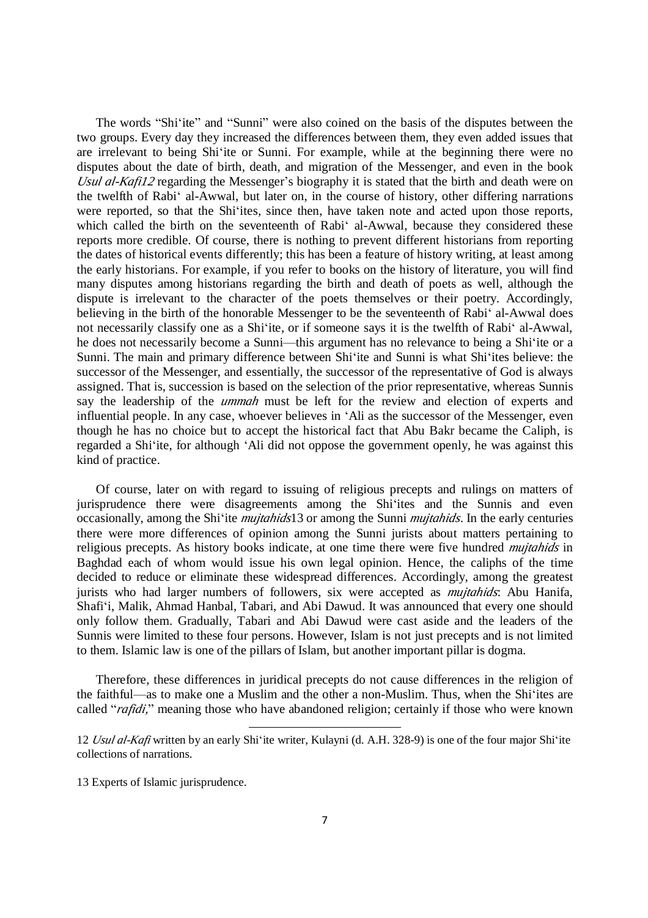The words "Shi'ite" and "Sunni" were also coined on the basis of the disputes between the two groups. Every day they increased the differences between them, they even added issues that are irrelevant to being Shi'ite or Sunni. For example, while at the beginning there were no disputes about the date of birth, death, and migration of the Messenger, and even in the book *Usul al-Kafi12* regarding the Messenger's biography it is stated that the birth and death were on the twelfth of Rabi' al-Awwal, but later on, in the course of history, other differing narrations were reported, so that the Shi'ites, since then, have taken note and acted upon those reports, which called the birth on the seventeenth of Rabi' al-Awwal, because they considered these reports more credible. Of course, there is nothing to prevent different historians from reporting the dates of historical events differently; this has been a feature of history writing, at least among the early historians. For example, if you refer to books on the history of literature, you will find many disputes among historians regarding the birth and death of poets as well, although the dispute is irrelevant to the character of the poets themselves or their poetry. Accordingly, believing in the birth of the honorable Messenger to be the seventeenth of Rabi' al-Awwal does not necessarily classify one as a Shi'ite, or if someone says it is the twelfth of Rabi' al-Awwal, he does not necessarily become a Sunni—this argument has no relevance to being a Shi'ite or a Sunni. The main and primary difference between Shi'ite and Sunni is what Shi'ites believe: the successor of the Messenger, and essentially, the successor of the representative of God is always assigned. That is, succession is based on the selection of the prior representative, whereas Sunnis say the leadership of the *ummah* must be left for the review and election of experts and influential people. In any case, whoever believes in 'Ali as the successor of the Messenger, even though he has no choice but to accept the historical fact that Abu Bakr became the Caliph, is regarded a Shi'ite, for although 'Ali did not oppose the government openly, he was against this kind of practice.

Of course, later on with regard to issuing of religious precepts and rulings on matters of jurisprudence there were disagreements among the Shi'ites and the Sunnis and even occasionally, among the Shi'ite *mujtahids*13 or among the Sunni *mujtahids*. In the early centuries there were more differences of opinion among the Sunni jurists about matters pertaining to religious precepts. As history books indicate, at one time there were five hundred *mujtahids* in Baghdad each of whom would issue his own legal opinion. Hence, the caliphs of the time decided to reduce or eliminate these widespread differences. Accordingly, among the greatest jurists who had larger numbers of followers, six were accepted as *mujtahids*: Abu Hanifa, Shafi'i, Malik, Ahmad Hanbal, Tabari, and Abi Dawud. It was announced that every one should only follow them. Gradually, Tabari and Abi Dawud were cast aside and the leaders of the Sunnis were limited to these four persons. However, Islam is not just precepts and is not limited to them. Islamic law is one of the pillars of Islam, but another important pillar is dogma.

Therefore, these differences in juridical precepts do not cause differences in the religion of the faithful—as to make one a Muslim and the other a non-Muslim. Thus, when the Shi'ites are called "*rafidi,*" meaning those who have abandoned religion; certainly if those who were known

<u>.</u>

13 Experts of Islamic jurisprudence.

<sup>12</sup> *Usul al-Kafi* written by an early Shi'ite writer, Kulayni (d. A.H. 328-9) is one of the four major Shi'ite collections of narrations.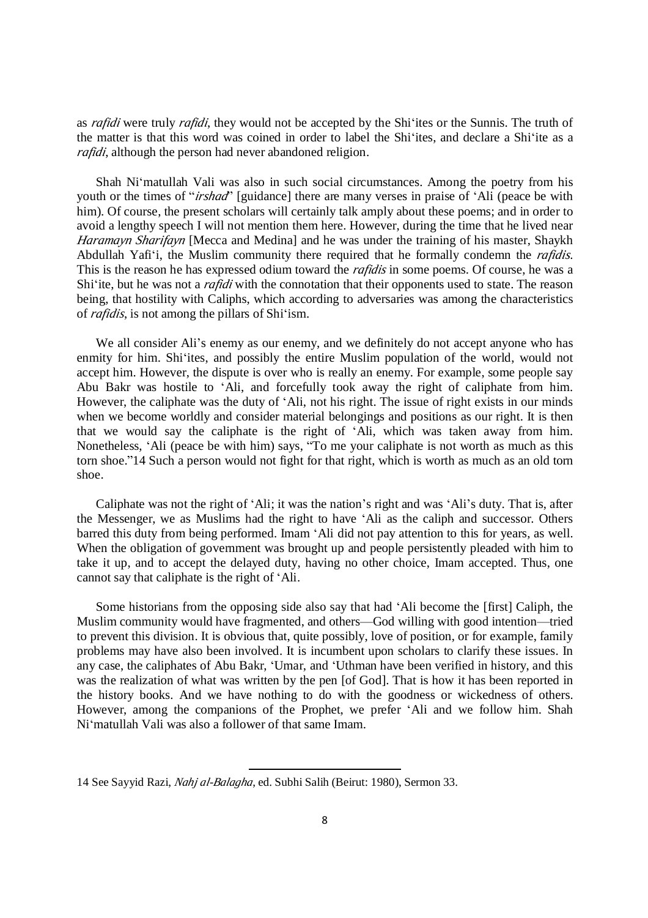as *rafidi* were truly *rafidi*, they would not be accepted by the Shi'ites or the Sunnis. The truth of the matter is that this word was coined in order to label the Shi'ites, and declare a Shi'ite as a *rafidi*, although the person had never abandoned religion.

Shah Ni'matullah Vali was also in such social circumstances. Among the poetry from his youth or the times of "*irshad*" [guidance] there are many verses in praise of 'Ali (peace be with him). Of course, the present scholars will certainly talk amply about these poems; and in order to avoid a lengthy speech I will not mention them here. However, during the time that he lived near *Haramayn Sharifayn* [Mecca and Medina] and he was under the training of his master, Shaykh Abdullah Yafi'i, the Muslim community there required that he formally condemn the *rafidis*. This is the reason he has expressed odium toward the *rafidis* in some poems. Of course, he was a Shi'ite, but he was not a *rafidi* with the connotation that their opponents used to state. The reason being, that hostility with Caliphs, which according to adversaries was among the characteristics of *rafidis*, is not among the pillars of Shi'ism.

We all consider Ali's enemy as our enemy, and we definitely do not accept anyone who has enmity for him. Shi'ites, and possibly the entire Muslim population of the world, would not accept him. However, the dispute is over who is really an enemy. For example, some people say Abu Bakr was hostile to 'Ali, and forcefully took away the right of caliphate from him. However, the caliphate was the duty of 'Ali, not his right. The issue of right exists in our minds when we become worldly and consider material belongings and positions as our right. It is then that we would say the caliphate is the right of 'Ali, which was taken away from him. Nonetheless, 'Ali (peace be with him) says, "To me your caliphate is not worth as much as this torn shoe."14 Such a person would not fight for that right, which is worth as much as an old torn shoe.

Caliphate was not the right of 'Ali; it was the nation's right and was 'Ali's duty. That is, after the Messenger, we as Muslims had the right to have 'Ali as the caliph and successor. Others barred this duty from being performed. Imam 'Ali did not pay attention to this for years, as well. When the obligation of government was brought up and people persistently pleaded with him to take it up, and to accept the delayed duty, having no other choice, Imam accepted. Thus, one cannot say that caliphate is the right of 'Ali.

Some historians from the opposing side also say that had 'Ali become the [first] Caliph, the Muslim community would have fragmented, and others—God willing with good intention—tried to prevent this division. It is obvious that, quite possibly, love of position, or for example, family problems may have also been involved. It is incumbent upon scholars to clarify these issues. In any case, the caliphates of Abu Bakr, 'Umar, and 'Uthman have been verified in history, and this was the realization of what was written by the pen [of God]. That is how it has been reported in the history books. And we have nothing to do with the goodness or wickedness of others. However, among the companions of the Prophet, we prefer 'Ali and we follow him. Shah Ni'matullah Vali was also a follower of that same Imam.

<u>.</u>

<sup>14</sup> See Sayyid Razi, *Nahj al-Balagha*, ed. Subhi Salih (Beirut: 1980), Sermon 33.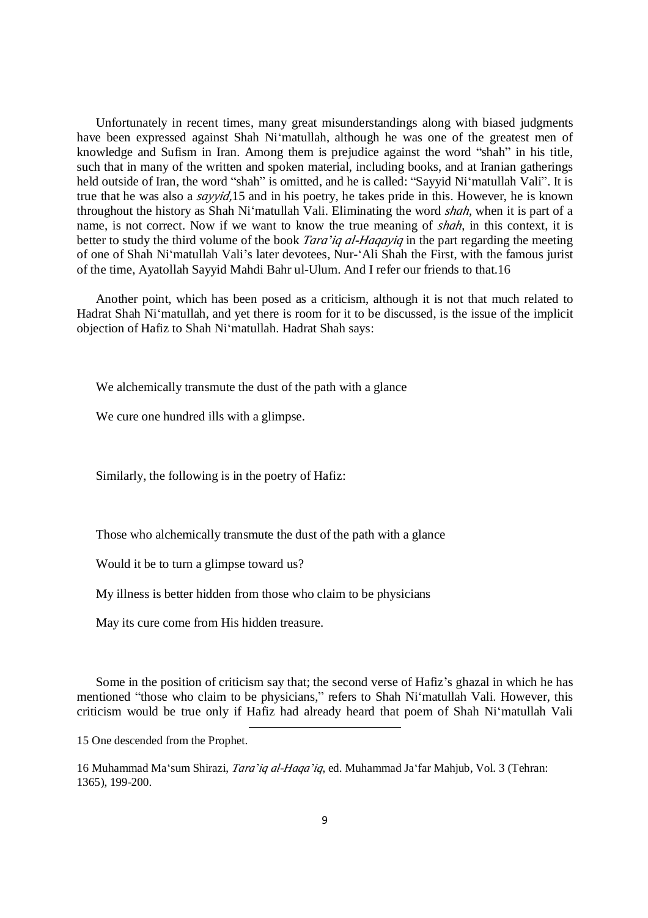Unfortunately in recent times, many great misunderstandings along with biased judgments have been expressed against Shah Ni'matullah, although he was one of the greatest men of knowledge and Sufism in Iran. Among them is prejudice against the word "shah" in his title, such that in many of the written and spoken material, including books, and at Iranian gatherings held outside of Iran, the word "shah" is omitted, and he is called: "Sayyid Ni'matullah Vali". It is true that he was also a *sayyid,*15 and in his poetry, he takes pride in this. However, he is known throughout the history as Shah Ni'matullah Vali. Eliminating the word *shah*, when it is part of a name, is not correct. Now if we want to know the true meaning of *shah*, in this context, it is better to study the third volume of the book *Tara'iq al-Haqayiq* in the part regarding the meeting of one of Shah Ni'matullah Vali's later devotees, Nur-'Ali Shah the First, with the famous jurist of the time, Ayatollah Sayyid Mahdi Bahr ul-Ulum. And I refer our friends to that.16

Another point, which has been posed as a criticism, although it is not that much related to Hadrat Shah Ni'matullah, and yet there is room for it to be discussed, is the issue of the implicit objection of Hafiz to Shah Ni'matullah. Hadrat Shah says:

We alchemically transmute the dust of the path with a glance

We cure one hundred ills with a glimpse.

Similarly, the following is in the poetry of Hafiz:

Those who alchemically transmute the dust of the path with a glance

Would it be to turn a glimpse toward us?

My illness is better hidden from those who claim to be physicians

<u>.</u>

May its cure come from His hidden treasure.

Some in the position of criticism say that; the second verse of Hafiz's ghazal in which he has mentioned "those who claim to be physicians," refers to Shah Ni'matullah Vali. However, this criticism would be true only if Hafiz had already heard that poem of Shah Ni'matullah Vali

15 One descended from the Prophet.

16 Muhammad Ma'sum Shirazi, *Tara'iq al-Haqa'iq*, ed. Muhammad Ja'far Mahjub, Vol. 3 (Tehran: 1365), 199-200.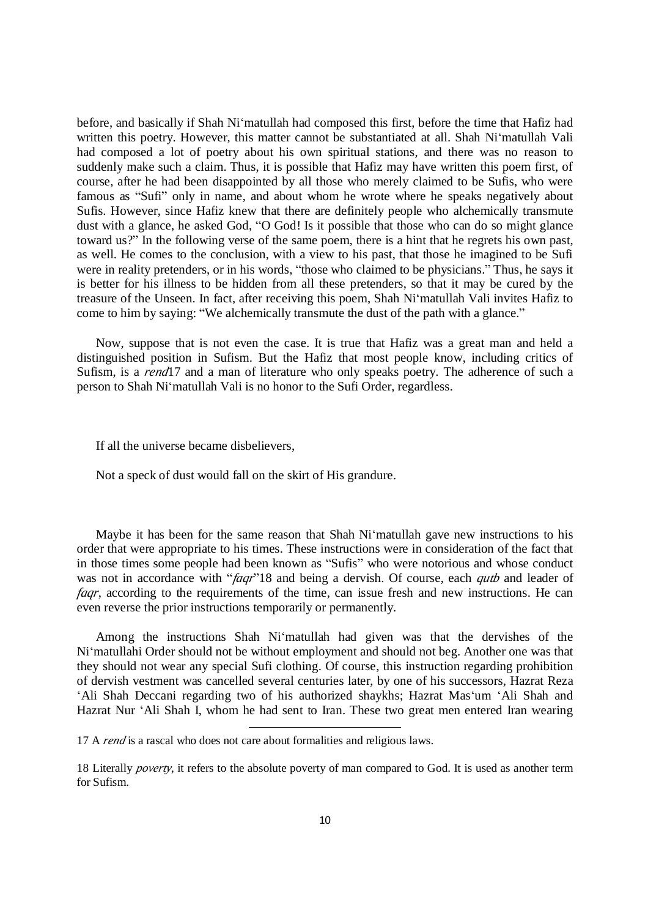before, and basically if Shah Ni'matullah had composed this first, before the time that Hafiz had written this poetry. However, this matter cannot be substantiated at all. Shah Ni'matullah Vali had composed a lot of poetry about his own spiritual stations, and there was no reason to suddenly make such a claim. Thus, it is possible that Hafiz may have written this poem first, of course, after he had been disappointed by all those who merely claimed to be Sufis, who were famous as "Sufi" only in name, and about whom he wrote where he speaks negatively about Sufis. However, since Hafiz knew that there are definitely people who alchemically transmute dust with a glance, he asked God, "O God! Is it possible that those who can do so might glance toward us?" In the following verse of the same poem, there is a hint that he regrets his own past, as well. He comes to the conclusion, with a view to his past, that those he imagined to be Sufi were in reality pretenders, or in his words, "those who claimed to be physicians." Thus, he says it is better for his illness to be hidden from all these pretenders, so that it may be cured by the treasure of the Unseen. In fact, after receiving this poem, Shah Ni'matullah Vali invites Hafiz to come to him by saying: "We alchemically transmute the dust of the path with a glance."

Now, suppose that is not even the case. It is true that Hafiz was a great man and held a distinguished position in Sufism. But the Hafiz that most people know, including critics of Sufism, is a *rend*17 and a man of literature who only speaks poetry. The adherence of such a person to Shah Ni'matullah Vali is no honor to the Sufi Order, regardless.

If all the universe became disbelievers,

Not a speck of dust would fall on the skirt of His grandure.

Maybe it has been for the same reason that Shah Ni'matullah gave new instructions to his order that were appropriate to his times. These instructions were in consideration of the fact that in those times some people had been known as "Sufis" who were notorious and whose conduct was not in accordance with "*faqr*"18 and being a dervish. Of course, each *qutb* and leader of *faar*, according to the requirements of the time, can issue fresh and new instructions. He can even reverse the prior instructions temporarily or permanently.

Among the instructions Shah Ni'matullah had given was that the dervishes of the Ni'matullahi Order should not be without employment and should not beg. Another one was that they should not wear any special Sufi clothing. Of course, this instruction regarding prohibition of dervish vestment was cancelled several centuries later, by one of his successors, Hazrat Reza 'Ali Shah Deccani regarding two of his authorized shaykhs; Hazrat Mas'um 'Ali Shah and Hazrat Nur 'Ali Shah I, whom he had sent to Iran. These two great men entered Iran wearing

<sup>&</sup>lt;u>.</u> 17 A *rend* is a rascal who does not care about formalities and religious laws.

<sup>18</sup> Literally *poverty*, it refers to the absolute poverty of man compared to God. It is used as another term for Sufism.